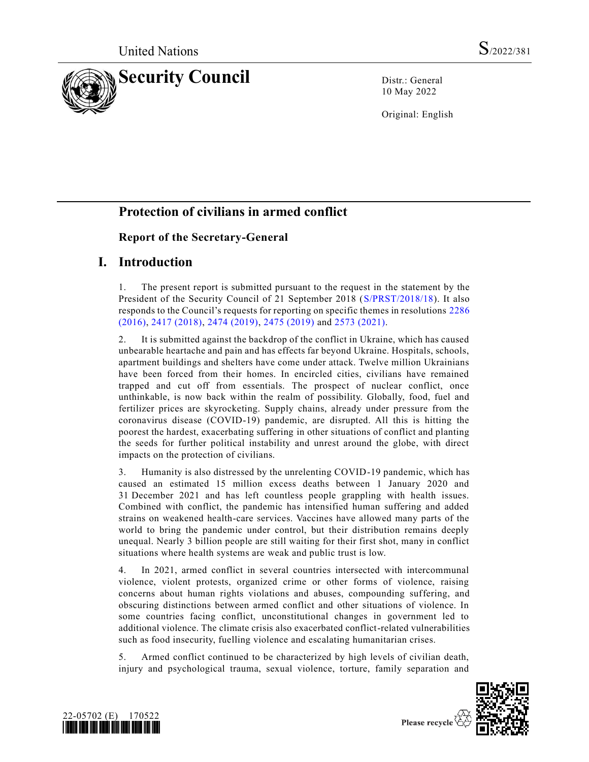

10 May 2022

Original: English

# **Protection of civilians in armed conflict**

# **Report of the Secretary-General**

# **I. Introduction**

1. The present report is submitted pursuant to the request in the statement by the President of the Security Council of 21 September 2018 [\(S/PRST/2018/18\)](https://undocs.org/en/S/PRST/2018/18). It also responds to the Council's requests for reporting on specific themes in resolutions [2286](https://undocs.org/en/S/RES/2286(2016))  [\(2016\),](https://undocs.org/en/S/RES/2286(2016)) [2417 \(2018\),](https://undocs.org/en/S/RES/2417(2018)) [2474 \(2019\),](https://undocs.org/en/S/RES/2474(2019)) [2475 \(2019\)](https://undocs.org/en/S/RES/2475(2019)) and [2573 \(2021\).](https://undocs.org/en/S/RES/2573(2021))

2. It is submitted against the backdrop of the conflict in Ukraine, which has caused unbearable heartache and pain and has effects far beyond Ukraine. Hospitals, schools, apartment buildings and shelters have come under attack. Twelve million Ukrainians have been forced from their homes. In encircled cities, civilians have remained trapped and cut off from essentials. The prospect of nuclear conflict, once unthinkable, is now back within the realm of possibility. Globally, food, fuel and fertilizer prices are skyrocketing. Supply chains, already under pressure from the coronavirus disease (COVID-19) pandemic, are disrupted. All this is hitting the poorest the hardest, exacerbating suffering in other situations of conflict and planting the seeds for further political instability and unrest around the globe, with direct impacts on the protection of civilians.

3. Humanity is also distressed by the unrelenting COVID-19 pandemic, which has caused an estimated 15 million excess deaths between 1 January 2020 and 31 December 2021 and has left countless people grappling with health issues. Combined with conflict, the pandemic has intensified human suffering and added strains on weakened health-care services. Vaccines have allowed many parts of the world to bring the pandemic under control, but their distribution remains deeply unequal. Nearly 3 billion people are still waiting for their first shot, many in conflict situations where health systems are weak and public trust is low.

4. In 2021, armed conflict in several countries intersected with intercommunal violence, violent protests, organized crime or other forms of violence, raising concerns about human rights violations and abuses, compounding suffering, and obscuring distinctions between armed conflict and other situations of violence. In some countries facing conflict, unconstitutional changes in government led to additional violence. The climate crisis also exacerbated conflict-related vulnerabilities such as food insecurity, fuelling violence and escalating humanitarian crises.

5. Armed conflict continued to be characterized by high levels of civilian death, injury and psychological trauma, sexual violence, torture, family separation and



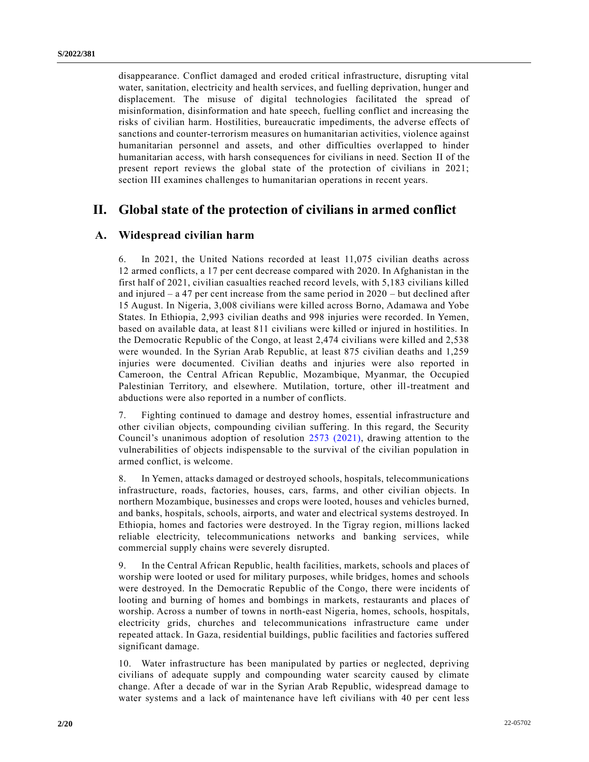disappearance. Conflict damaged and eroded critical infrastructure, disrupting vital water, sanitation, electricity and health services, and fuelling deprivation, hunger and displacement. The misuse of digital technologies facilitated the spread of misinformation, disinformation and hate speech, fuelling conflict and increasing the risks of civilian harm. Hostilities, bureaucratic impediments, the adverse effects of sanctions and counter-terrorism measures on humanitarian activities, violence against humanitarian personnel and assets, and other difficulties overlapped to hinder humanitarian access, with harsh consequences for civilians in need. Section II of the present report reviews the global state of the protection of civilians in 2021; section III examines challenges to humanitarian operations in recent years.

# **II. Global state of the protection of civilians in armed conflict**

## **A. Widespread civilian harm**

6. In 2021, the United Nations recorded at least 11,075 civilian deaths across 12 armed conflicts, a 17 per cent decrease compared with 2020. In Afghanistan in the first half of 2021, civilian casualties reached record levels, with 5,183 civilians killed and injured – a 47 per cent increase from the same period in 2020 – but declined after 15 August. In Nigeria, 3,008 civilians were killed across Borno, Adamawa and Yobe States. In Ethiopia, 2,993 civilian deaths and 998 injuries were recorded. In Yemen, based on available data, at least 811 civilians were killed or injured in hostilities. In the Democratic Republic of the Congo, at least 2,474 civilians were killed and 2,538 were wounded. In the Syrian Arab Republic, at least 875 civilian deaths and 1,259 injuries were documented. Civilian deaths and injuries were also reported in Cameroon, the Central African Republic, Mozambique, Myanmar, the Occupied Palestinian Territory, and elsewhere. Mutilation, torture, other ill-treatment and abductions were also reported in a number of conflicts.

7. Fighting continued to damage and destroy homes, essential infrastructure and other civilian objects, compounding civilian suffering. In this regard, the Security Council's unanimous adoption of resolution [2573 \(2021\),](https://undocs.org/en/S/RES/2573(2021)) drawing attention to the vulnerabilities of objects indispensable to the survival of the civilian population in armed conflict, is welcome.

8. In Yemen, attacks damaged or destroyed schools, hospitals, telecommunications infrastructure, roads, factories, houses, cars, farms, and other civilian objects. In northern Mozambique, businesses and crops were looted, houses and vehicles burned, and banks, hospitals, schools, airports, and water and electrical systems destroyed. In Ethiopia, homes and factories were destroyed. In the Tigray region, millions lacked reliable electricity, telecommunications networks and banking services, while commercial supply chains were severely disrupted.

9. In the Central African Republic, health facilities, markets, schools and places of worship were looted or used for military purposes, while bridges, homes and schools were destroyed. In the Democratic Republic of the Congo, there were incidents of looting and burning of homes and bombings in markets, restaurants and places of worship. Across a number of towns in north-east Nigeria, homes, schools, hospitals, electricity grids, churches and telecommunications infrastructure came under repeated attack. In Gaza, residential buildings, public facilities and factories suffered significant damage.

10. Water infrastructure has been manipulated by parties or neglected, depriving civilians of adequate supply and compounding water scarcity caused by climate change. After a decade of war in the Syrian Arab Republic, widespread damage to water systems and a lack of maintenance have left civilians with 40 per cent less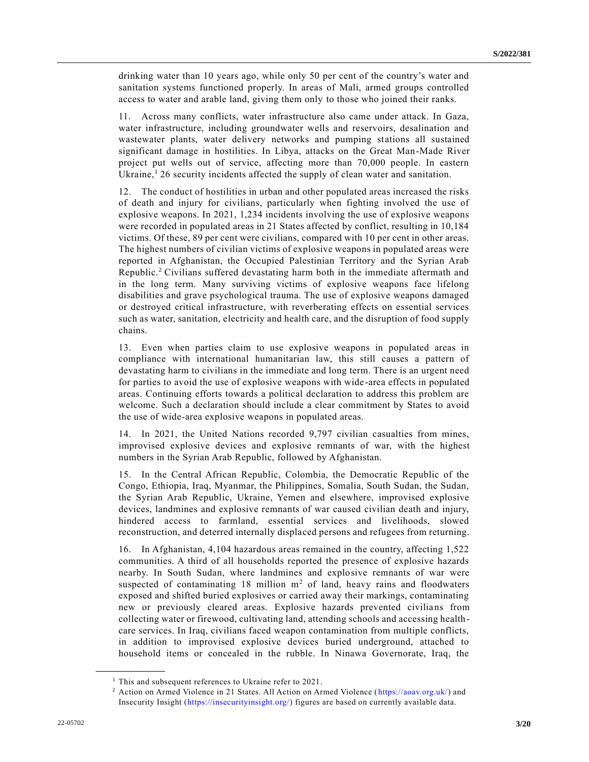drinking water than 10 years ago, while only 50 per cent of the country's water and sanitation systems functioned properly. In areas of Mali, armed groups controlled access to water and arable land, giving them only to those who joined their ranks.

11. Across many conflicts, water infrastructure also came under attack. In Gaza, water infrastructure, including groundwater wells and reservoirs, desalination and wastewater plants, water delivery networks and pumping stations all sustained significant damage in hostilities. In Libya, attacks on the Great Man-Made River project put wells out of service, affecting more than 70,000 people. In eastern Ukraine, $126$  security incidents affected the supply of clean water and sanitation.

12. The conduct of hostilities in urban and other populated areas increased the risks of death and injury for civilians, particularly when fighting involved the use of explosive weapons. In 2021, 1,234 incidents involving the use of explosive weapons were recorded in populated areas in 21 States affected by conflict, resulting in 10,184 victims. Of these, 89 per cent were civilians, compared with 10 per cent in other areas. The highest numbers of civilian victims of explosive weapons in populated areas were reported in Afghanistan, the Occupied Palestinian Territory and the Syrian Arab Republic.<sup>2</sup> Civilians suffered devastating harm both in the immediate aftermath and in the long term. Many surviving victims of explosive weapons face lifelong disabilities and grave psychological trauma. The use of explosive weapons damaged or destroyed critical infrastructure, with reverberating effects on essential services such as water, sanitation, electricity and health care, and the disruption of food supply chains.

13. Even when parties claim to use explosive weapons in populated areas in compliance with international humanitarian law, this still causes a pattern of devastating harm to civilians in the immediate and long term. There is an urgent need for parties to avoid the use of explosive weapons with wide-area effects in populated areas. Continuing efforts towards a political declaration to address this problem are welcome. Such a declaration should include a clear commitment by States to avoid the use of wide-area explosive weapons in populated areas.

14. In 2021, the United Nations recorded 9,797 civilian casualties from mines, improvised explosive devices and explosive remnants of war, with the highest numbers in the Syrian Arab Republic, followed by Afghanistan.

15. In the Central African Republic, Colombia, the Democratic Republic of the Congo, Ethiopia, Iraq, Myanmar, the Philippines, Somalia, South Sudan, the Sudan, the Syrian Arab Republic, Ukraine, Yemen and elsewhere, improvised explosive devices, landmines and explosive remnants of war caused civilian death and injury, hindered access to farmland, essential services and livelihoods, slowed reconstruction, and deterred internally displaced persons and refugees from returning.

16. In Afghanistan, 4,104 hazardous areas remained in the country, affecting 1,522 communities. A third of all households reported the presence of explosive hazards nearby. In South Sudan, where landmines and explosive remnants of war were suspected of contaminating 18 million  $m<sup>2</sup>$  of land, heavy rains and floodwaters exposed and shifted buried explosives or carried away their markings, contaminating new or previously cleared areas. Explosive hazards prevented civilians from collecting water or firewood, cultivating land, attending schools and accessing health care services. In Iraq, civilians faced weapon contamination from multiple conflicts, in addition to improvised explosive devices buried underground, attached to household items or concealed in the rubble. In Ninawa Governorate, Iraq, the

<sup>&</sup>lt;sup>1</sup> This and subsequent references to Ukraine refer to 2021.

<sup>2</sup> Action on Armed Violence in 21 States. All Action on Armed Violence [\(https://aoav.org.uk/\)](https://aoav.org.uk/) and Insecurity Insight [\(https://insecurityinsight.org/\)](https://insecurityinsight.org/) figures are based on currently available data.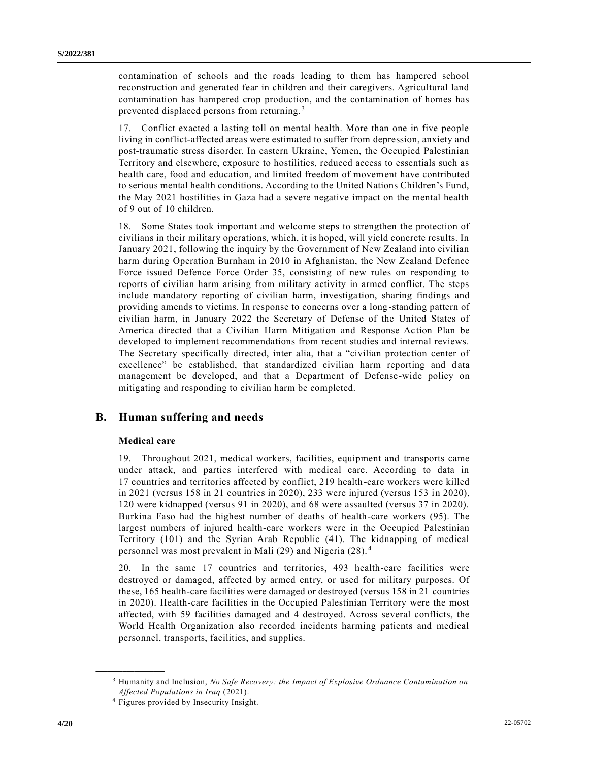contamination of schools and the roads leading to them has hampered school reconstruction and generated fear in children and their caregivers. Agricultural land contamination has hampered crop production, and the contamination of homes has prevented displaced persons from returning. <sup>3</sup>

17. Conflict exacted a lasting toll on mental health. More than one in five people living in conflict-affected areas were estimated to suffer from depression, anxiety and post-traumatic stress disorder. In eastern Ukraine, Yemen, the Occupied Palestinian Territory and elsewhere, exposure to hostilities, reduced access to essentials such as health care, food and education, and limited freedom of movement have contributed to serious mental health conditions. According to the United Nations Children's Fund, the May 2021 hostilities in Gaza had a severe negative impact on the mental health of 9 out of 10 children.

18. Some States took important and welcome steps to strengthen the protection of civilians in their military operations, which, it is hoped, will yield concrete results. In January 2021, following the inquiry by the Government of New Zealand into civilian harm during Operation Burnham in 2010 in Afghanistan, the New Zealand Defence Force issued Defence Force Order 35, consisting of new rules on responding to reports of civilian harm arising from military activity in armed conflict. The steps include mandatory reporting of civilian harm, investigation, sharing findings and providing amends to victims. In response to concerns over a long-standing pattern of civilian harm, in January 2022 the Secretary of Defense of the United States of America directed that a Civilian Harm Mitigation and Response Action Plan be developed to implement recommendations from recent studies and internal reviews. The Secretary specifically directed, inter alia, that a "civilian protection center of excellence" be established, that standardized civilian harm reporting and data management be developed, and that a Department of Defense-wide policy on mitigating and responding to civilian harm be completed.

## **B. Human suffering and needs**

#### **Medical care**

**\_\_\_\_\_\_\_\_\_\_\_\_\_\_\_\_\_\_**

19. Throughout 2021, medical workers, facilities, equipment and transports came under attack, and parties interfered with medical care. According to data in 17 countries and territories affected by conflict, 219 health-care workers were killed in 2021 (versus 158 in 21 countries in 2020), 233 were injured (versus 153 in 2020), 120 were kidnapped (versus 91 in 2020), and 68 were assaulted (versus 37 in 2020). Burkina Faso had the highest number of deaths of health-care workers (95). The largest numbers of injured health-care workers were in the Occupied Palestinian Territory (101) and the Syrian Arab Republic (41). The kidnapping of medical personnel was most prevalent in Mali (29) and Nigeria (28). <sup>4</sup>

20. In the same 17 countries and territories, 493 health-care facilities were destroyed or damaged, affected by armed entry, or used for military purposes. Of these, 165 health-care facilities were damaged or destroyed (versus 158 in 21 countries in 2020). Health-care facilities in the Occupied Palestinian Territory were the most affected, with 59 facilities damaged and 4 destroyed. Across several conflicts, the World Health Organization also recorded incidents harming patients and medical personnel, transports, facilities, and supplies.

<sup>3</sup> Humanity and Inclusion, *No Safe Recovery: the Impact of Explosive Ordnance Contamination on Affected Populations in Iraq* (2021).

<sup>4</sup> Figures provided by Insecurity Insight.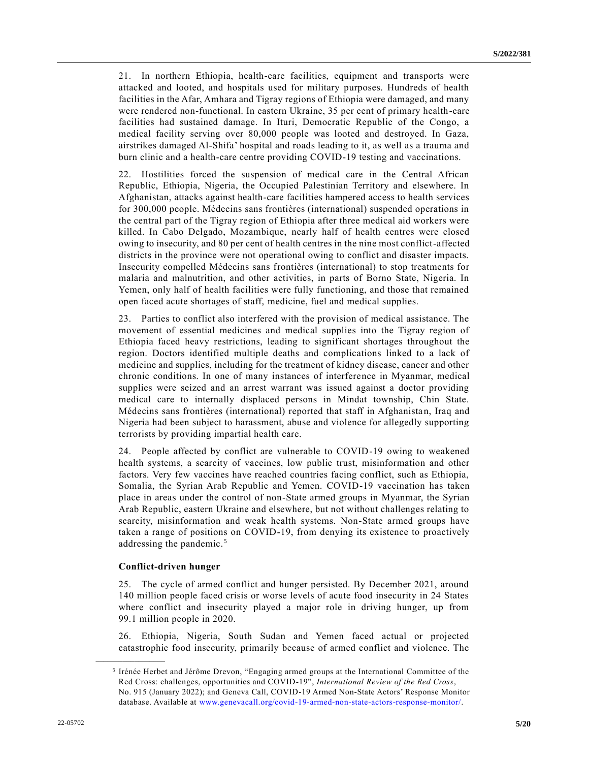21. In northern Ethiopia, health-care facilities, equipment and transports were attacked and looted, and hospitals used for military purposes. Hundreds of health facilities in the Afar, Amhara and Tigray regions of Ethiopia were damaged, and many were rendered non-functional. In eastern Ukraine, 35 per cent of primary health-care facilities had sustained damage. In Ituri, Democratic Republic of the Congo, a medical facility serving over 80,000 people was looted and destroyed. In Gaza, airstrikes damaged Al-Shifa' hospital and roads leading to it, as well as a trauma and burn clinic and a health-care centre providing COVID-19 testing and vaccinations.

22. Hostilities forced the suspension of medical care in the Central African Republic, Ethiopia, Nigeria, the Occupied Palestinian Territory and elsewhere. In Afghanistan, attacks against health-care facilities hampered access to health services for 300,000 people. Médecins sans frontières (international) suspended operations in the central part of the Tigray region of Ethiopia after three medical aid workers were killed. In Cabo Delgado, Mozambique, nearly half of health centres were closed owing to insecurity, and 80 per cent of health centres in the nine most conflict-affected districts in the province were not operational owing to conflict and disaster impacts. Insecurity compelled Médecins sans frontières (international) to stop treatments for malaria and malnutrition, and other activities, in parts of Borno State, Nigeria. In Yemen, only half of health facilities were fully functioning, and those that remained open faced acute shortages of staff, medicine, fuel and medical supplies.

23. Parties to conflict also interfered with the provision of medical assistance. The movement of essential medicines and medical supplies into the Tigray region of Ethiopia faced heavy restrictions, leading to significant shortages throughout the region. Doctors identified multiple deaths and complications linked to a lack of medicine and supplies, including for the treatment of kidney disease, cancer and other chronic conditions. In one of many instances of interference in Myanmar, medical supplies were seized and an arrest warrant was issued against a doctor providing medical care to internally displaced persons in Mindat township, Chin State. Médecins sans frontières (international) reported that staff in Afghanistan, Iraq and Nigeria had been subject to harassment, abuse and violence for allegedly supporting terrorists by providing impartial health care.

24. People affected by conflict are vulnerable to COVID-19 owing to weakened health systems, a scarcity of vaccines, low public trust, misinformation and other factors. Very few vaccines have reached countries facing conflict, such as Ethiopia, Somalia, the Syrian Arab Republic and Yemen. COVID-19 vaccination has taken place in areas under the control of non-State armed groups in Myanmar, the Syrian Arab Republic, eastern Ukraine and elsewhere, but not without challenges relating to scarcity, misinformation and weak health systems. Non-State armed groups have taken a range of positions on COVID-19, from denying its existence to proactively addressing the pandemic.<sup>5</sup>

#### **Conflict-driven hunger**

**\_\_\_\_\_\_\_\_\_\_\_\_\_\_\_\_\_\_**

25. The cycle of armed conflict and hunger persisted. By December 2021, around 140 million people faced crisis or worse levels of acute food insecurity in 24 States where conflict and insecurity played a major role in driving hunger, up from 99.1 million people in 2020.

26. Ethiopia, Nigeria, South Sudan and Yemen faced actual or projected catastrophic food insecurity, primarily because of armed conflict and violence. The

<sup>5</sup> Irénée Herbet and Jérôme Drevon, "Engaging armed groups at the International Committee of the Red Cross: challenges, opportunities and COVID-19", *International Review of the Red Cross*, No. 915 (January 2022); and Geneva Call, COVID-19 Armed Non-State Actors' Response Monitor database. Available at [www.genevacall.org/covid-19-armed-non-state-actors-response-monitor/.](https://www.genevacall.org/covid-19-armed-non-state-actors-response-monitor/)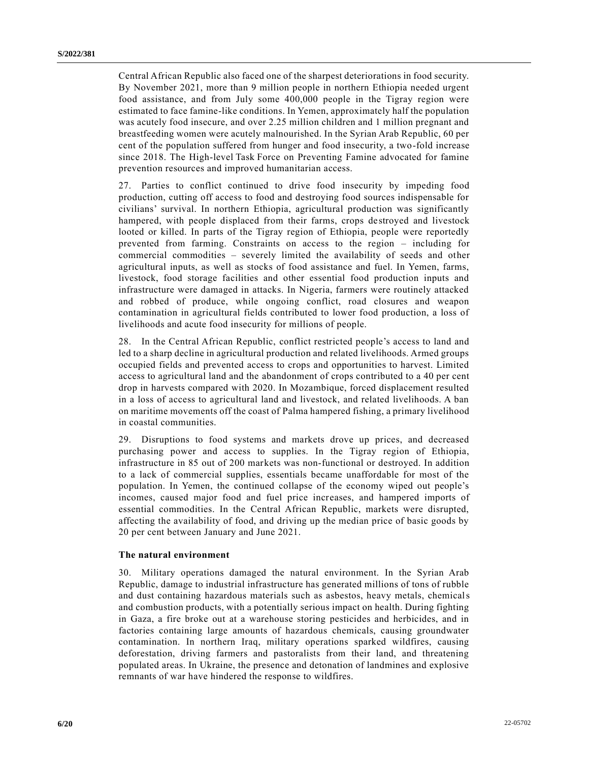Central African Republic also faced one of the sharpest deteriorations in food security. By November 2021, more than 9 million people in northern Ethiopia needed urgent food assistance, and from July some 400,000 people in the Tigray region were estimated to face famine-like conditions. In Yemen, approximately half the population was acutely food insecure, and over 2.25 million children and 1 million pregnant and breastfeeding women were acutely malnourished. In the Syrian Arab Republic, 60 per cent of the population suffered from hunger and food insecurity, a two-fold increase since 2018. The High-level Task Force on Preventing Famine advocated for famine prevention resources and improved humanitarian access.

27. Parties to conflict continued to drive food insecurity by impeding food production, cutting off access to food and destroying food sources indispensable for civilians' survival. In northern Ethiopia, agricultural production was significantly hampered, with people displaced from their farms, crops destroyed and livestock looted or killed. In parts of the Tigray region of Ethiopia, people were reportedly prevented from farming. Constraints on access to the region – including for commercial commodities – severely limited the availability of seeds and other agricultural inputs, as well as stocks of food assistance and fuel. In Yemen, farms, livestock, food storage facilities and other essential food production inputs and infrastructure were damaged in attacks. In Nigeria, farmers were routinely attacked and robbed of produce, while ongoing conflict, road closures and weapon contamination in agricultural fields contributed to lower food production, a loss of livelihoods and acute food insecurity for millions of people.

28. In the Central African Republic, conflict restricted people's access to land and led to a sharp decline in agricultural production and related livelihoods. Armed groups occupied fields and prevented access to crops and opportunities to harvest. Limited access to agricultural land and the abandonment of crops contributed to a 40 per cent drop in harvests compared with 2020. In Mozambique, forced displacement resulted in a loss of access to agricultural land and livestock, and related livelihoods. A ban on maritime movements off the coast of Palma hampered fishing, a primary livelihood in coastal communities.

29. Disruptions to food systems and markets drove up prices, and decreased purchasing power and access to supplies. In the Tigray region of Ethiopia, infrastructure in 85 out of 200 markets was non-functional or destroyed. In addition to a lack of commercial supplies, essentials became unaffordable for most of the population. In Yemen, the continued collapse of the economy wiped out people's incomes, caused major food and fuel price increases, and hampered imports of essential commodities. In the Central African Republic, markets were disrupted, affecting the availability of food, and driving up the median price of basic goods by 20 per cent between January and June 2021.

#### **The natural environment**

30. Military operations damaged the natural environment. In the Syrian Arab Republic, damage to industrial infrastructure has generated millions of tons of rubble and dust containing hazardous materials such as asbestos, heavy metals, chemicals and combustion products, with a potentially serious impact on health. During fighting in Gaza, a fire broke out at a warehouse storing pesticides and herbicides, and in factories containing large amounts of hazardous chemicals, causing groundwater contamination. In northern Iraq, military operations sparked wildfires, causing deforestation, driving farmers and pastoralists from their land, and threatening populated areas. In Ukraine, the presence and detonation of landmines and explosive remnants of war have hindered the response to wildfires.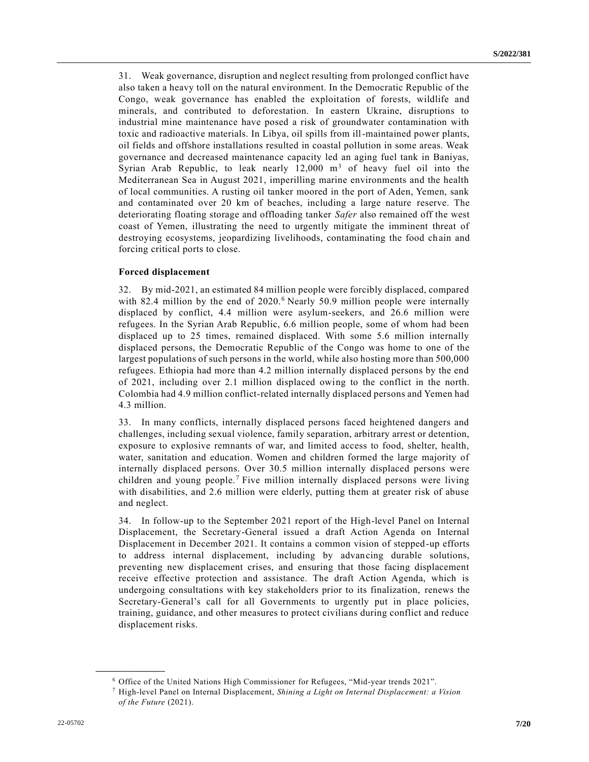31. Weak governance, disruption and neglect resulting from prolonged conflict have also taken a heavy toll on the natural environment. In the Democratic Republic of the Congo, weak governance has enabled the exploitation of forests, wildlife and minerals, and contributed to deforestation. In eastern Ukraine, disruptions to industrial mine maintenance have posed a risk of groundwater contamination with toxic and radioactive materials. In Libya, oil spills from ill-maintained power plants, oil fields and offshore installations resulted in coastal pollution in some areas. Weak governance and decreased maintenance capacity led an aging fuel tank in Baniyas, Syrian Arab Republic, to leak nearly  $12,000$  m<sup>3</sup> of heavy fuel oil into the Mediterranean Sea in August 2021, imperilling marine environments and the health of local communities. A rusting oil tanker moored in the port of Aden, Yemen, sank and contaminated over 20 km of beaches, including a large nature reserve. The deteriorating floating storage and offloading tanker *Safer* also remained off the west coast of Yemen, illustrating the need to urgently mitigate the imminent threat of destroying ecosystems, jeopardizing livelihoods, contaminating the food ch ain and forcing critical ports to close.

#### **Forced displacement**

32. By mid-2021, an estimated 84 million people were forcibly displaced, compared with 82.4 million by the end of 2020.<sup>6</sup> Nearly 50.9 million people were internally displaced by conflict, 4.4 million were asylum-seekers, and 26.6 million were refugees. In the Syrian Arab Republic, 6.6 million people, some of whom had been displaced up to 25 times, remained displaced. With some 5.6 million internally displaced persons, the Democratic Republic of the Congo was home to one of the largest populations of such persons in the world, while also hosting more than 500,000 refugees. Ethiopia had more than 4.2 million internally displaced persons by the end of 2021, including over 2.1 million displaced owing to the conflict in the north. Colombia had 4.9 million conflict-related internally displaced persons and Yemen had 4.3 million.

33. In many conflicts, internally displaced persons faced heightened dangers and challenges, including sexual violence, family separation, arbitrary arrest or detention, exposure to explosive remnants of war, and limited access to food, shelter, health, water, sanitation and education. Women and children formed the large majority of internally displaced persons. Over 30.5 million internally displaced persons were children and young people.<sup>7</sup> Five million internally displaced persons were living with disabilities, and 2.6 million were elderly, putting them at greater risk of abuse and neglect.

34. In follow-up to the September 2021 report of the High-level Panel on Internal Displacement, the Secretary-General issued a draft Action Agenda on Internal Displacement in December 2021. It contains a common vision of stepped-up efforts to address internal displacement, including by advancing durable solutions, preventing new displacement crises, and ensuring that those facing displacement receive effective protection and assistance. The draft Action Agenda, which is undergoing consultations with key stakeholders prior to its finalization, renews the Secretary-General's call for all Governments to urgently put in place policies, training, guidance, and other measures to protect civilians during conflict and reduce displacement risks.

<sup>6</sup> Office of the United Nations High Commissioner for Refugees, "Mid-year trends 2021".

<sup>7</sup> High-level Panel on Internal Displacement, *Shining a Light on Internal Displacement: a Vision of the Future* (2021).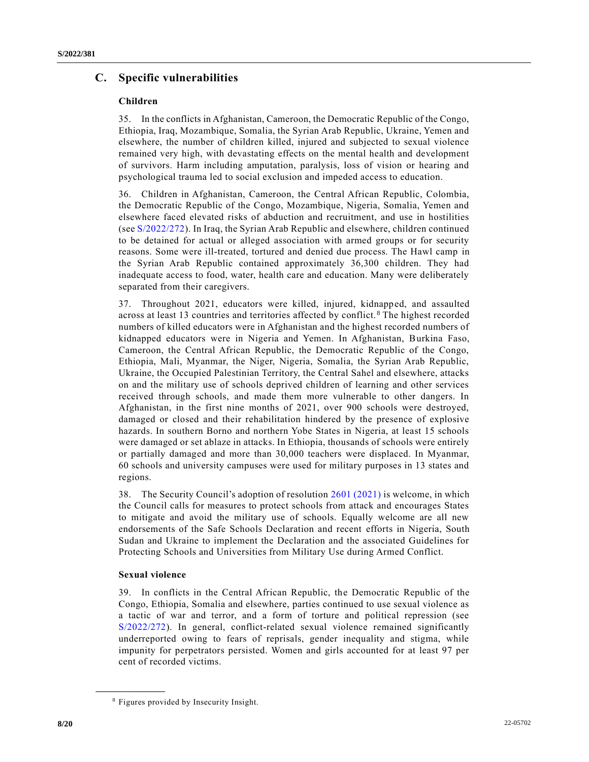# **C. Specific vulnerabilities**

## **Children**

35. In the conflicts in Afghanistan, Cameroon, the Democratic Republic of the Congo, Ethiopia, Iraq, Mozambique, Somalia, the Syrian Arab Republic, Ukraine, Yemen and elsewhere, the number of children killed, injured and subjected to sexual violence remained very high, with devastating effects on the mental health and development of survivors. Harm including amputation, paralysis, loss of vision or hearing and psychological trauma led to social exclusion and impeded access to education.

36. Children in Afghanistan, Cameroon, the Central African Republic, Colombia, the Democratic Republic of the Congo, Mozambique, Nigeria, Somalia, Yemen and elsewhere faced elevated risks of abduction and recruitment, and use in hostilities (see [S/2022/272\)](https://undocs.org/en/S/2022/272). In Iraq, the Syrian Arab Republic and elsewhere, children continued to be detained for actual or alleged association with armed groups or for security reasons. Some were ill-treated, tortured and denied due process. The Hawl camp in the Syrian Arab Republic contained approximately 36,300 children. They had inadequate access to food, water, health care and education. Many were deliberately separated from their caregivers.

37. Throughout 2021, educators were killed, injured, kidnapped, and assaulted across at least 13 countries and territories affected by conflict. <sup>8</sup> The highest recorded numbers of killed educators were in Afghanistan and the highest recorded numbers of kidnapped educators were in Nigeria and Yemen. In Afghanistan, Burkina Faso, Cameroon, the Central African Republic, the Democratic Republic of the Congo, Ethiopia, Mali, Myanmar, the Niger, Nigeria, Somalia, the Syrian Arab Republic, Ukraine, the Occupied Palestinian Territory, the Central Sahel and elsewhere, attacks on and the military use of schools deprived children of learning and other services received through schools, and made them more vulnerable to other dangers. In Afghanistan, in the first nine months of 2021, over 900 schools were destroyed, damaged or closed and their rehabilitation hindered by the presence of explosive hazards. In southern Borno and northern Yobe States in Nigeria, at least 15 schools were damaged or set ablaze in attacks. In Ethiopia, thousands of schools were entirely or partially damaged and more than 30,000 teachers were displaced. In Myanmar, 60 schools and university campuses were used for military purposes in 13 states and regions.

38. The Security Council's adoption of resolution [2601 \(2021\)](https://undocs.org/en/S/RES/2601(2021)) is welcome, in which the Council calls for measures to protect schools from attack and encourages States to mitigate and avoid the military use of schools. Equally welcome are all new endorsements of the Safe Schools Declaration and recent efforts in Nigeria, South Sudan and Ukraine to implement the Declaration and the associated Guidelines for Protecting Schools and Universities from Military Use during Armed Conflict.

## **Sexual violence**

**\_\_\_\_\_\_\_\_\_\_\_\_\_\_\_\_\_\_**

39. In conflicts in the Central African Republic, the Democratic Republic of the Congo, Ethiopia, Somalia and elsewhere, parties continued to use sexual violence as a tactic of war and terror, and a form of torture and political repression (see [S/2022/272\)](https://undocs.org/en/S/2022/272). In general, conflict-related sexual violence remained significantly underreported owing to fears of reprisals, gender inequality and stigma, while impunity for perpetrators persisted. Women and girls accounted for at least 97 per cent of recorded victims.

<sup>8</sup> Figures provided by Insecurity Insight.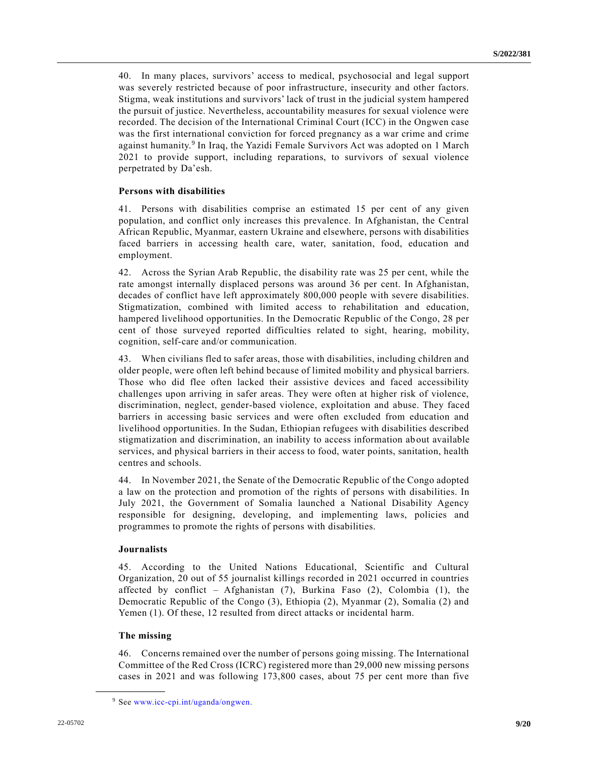40. In many places, survivors' access to medical, psychosocial and legal support was severely restricted because of poor infrastructure, insecurity and other factors. Stigma, weak institutions and survivors' lack of trust in the judicial system hampered the pursuit of justice. Nevertheless, accountability measures for sexual violence were recorded. The decision of the International Criminal Court (ICC) in the Ongwen case was the first international conviction for forced pregnancy as a war crime and crime against humanity.<sup>9</sup> In Iraq, the Yazidi Female Survivors Act was adopted on 1 March 2021 to provide support, including reparations, to survivors of sexual violence perpetrated by Da'esh.

#### **Persons with disabilities**

41. Persons with disabilities comprise an estimated 15 per cent of any given population, and conflict only increases this prevalence. In Afghanistan, the Central African Republic, Myanmar, eastern Ukraine and elsewhere, persons with disabilities faced barriers in accessing health care, water, sanitation, food, education and employment.

42. Across the Syrian Arab Republic, the disability rate was 25 per cent, while the rate amongst internally displaced persons was around 36 per cent. In Afghanistan, decades of conflict have left approximately 800,000 people with severe disabilities. Stigmatization, combined with limited access to rehabilitation and education, hampered livelihood opportunities. In the Democratic Republic of the Congo, 28 per cent of those surveyed reported difficulties related to sight, hearing, mobility, cognition, self-care and/or communication.

43. When civilians fled to safer areas, those with disabilities, including children and older people, were often left behind because of limited mobility and physical barriers. Those who did flee often lacked their assistive devices and faced accessibility challenges upon arriving in safer areas. They were often at higher risk of violence, discrimination, neglect, gender-based violence, exploitation and abuse. They faced barriers in accessing basic services and were often excluded from education and livelihood opportunities. In the Sudan, Ethiopian refugees with disabilities described stigmatization and discrimination, an inability to access information ab out available services, and physical barriers in their access to food, water points, sanitation, health centres and schools.

44. In November 2021, the Senate of the Democratic Republic of the Congo adopted a law on the protection and promotion of the rights of persons with disabilities. In July 2021, the Government of Somalia launched a National Disability Agency responsible for designing, developing, and implementing laws, policies and programmes to promote the rights of persons with disabilities.

#### **Journalists**

45. According to the United Nations Educational, Scientific and Cultural Organization, 20 out of 55 journalist killings recorded in 2021 occurred in countries affected by conflict – Afghanistan  $(7)$ , Burkina Faso  $(2)$ , Colombia  $(1)$ , the Democratic Republic of the Congo (3), Ethiopia (2), Myanmar (2), Somalia (2) and Yemen (1). Of these, 12 resulted from direct attacks or incidental harm.

#### **The missing**

**\_\_\_\_\_\_\_\_\_\_\_\_\_\_\_\_\_\_**

46. Concerns remained over the number of persons going missing. The International Committee of the Red Cross (ICRC) registered more than 29,000 new missing persons cases in 2021 and was following 173,800 cases, about 75 per cent more than five

<sup>9</sup> See [www.icc-cpi.int/uganda/ongwen.](https://www.icc-cpi.int/uganda/ongwen)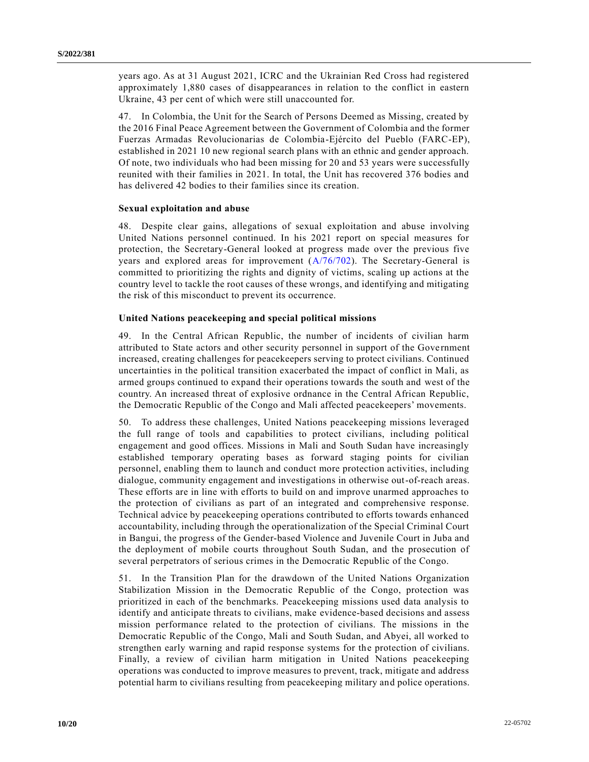years ago. As at 31 August 2021, ICRC and the Ukrainian Red Cross had registered approximately 1,880 cases of disappearances in relation to the conflict in eastern Ukraine, 43 per cent of which were still unaccounted for.

47. In Colombia, the Unit for the Search of Persons Deemed as Missing, created by the 2016 Final Peace Agreement between the Government of Colombia and the former Fuerzas Armadas Revolucionarias de Colombia-Ejército del Pueblo (FARC-EP), established in 2021 10 new regional search plans with an ethnic and gender approach. Of note, two individuals who had been missing for 20 and 53 years were successfully reunited with their families in 2021. In total, the Unit has recovered 376 bodies and has delivered 42 bodies to their families since its creation.

#### **Sexual exploitation and abuse**

48. Despite clear gains, allegations of sexual exploitation and abuse involving United Nations personnel continued. In his 2021 report on special measures for protection, the Secretary-General looked at progress made over the previous five years and explored areas for improvement  $(A/76/702)$ . The Secretary-General is committed to prioritizing the rights and dignity of victims, scaling up actions at the country level to tackle the root causes of these wrongs, and identifying and mitigating the risk of this misconduct to prevent its occurrence.

#### **United Nations peacekeeping and special political missions**

49. In the Central African Republic, the number of incidents of civilian harm attributed to State actors and other security personnel in support of the Gove rnment increased, creating challenges for peacekeepers serving to protect civilians. Continued uncertainties in the political transition exacerbated the impact of conflict in Mali, as armed groups continued to expand their operations towards the south and west of the country. An increased threat of explosive ordnance in the Central African Republic, the Democratic Republic of the Congo and Mali affected peacekeepers' movements.

50. To address these challenges, United Nations peacekeeping missions leveraged the full range of tools and capabilities to protect civilians, including political engagement and good offices. Missions in Mali and South Sudan have increasingly established temporary operating bases as forward staging points for civilian personnel, enabling them to launch and conduct more protection activities, including dialogue, community engagement and investigations in otherwise out-of-reach areas. These efforts are in line with efforts to build on and improve unarmed approaches to the protection of civilians as part of an integrated and comprehensive response. Technical advice by peacekeeping operations contributed to efforts towards enhanced accountability, including through the operationalization of the Special Criminal Court in Bangui, the progress of the Gender-based Violence and Juvenile Court in Juba and the deployment of mobile courts throughout South Sudan, and the prosecution of several perpetrators of serious crimes in the Democratic Republic of the Congo.

51. In the Transition Plan for the drawdown of the United Nations Organization Stabilization Mission in the Democratic Republic of the Congo, protection was prioritized in each of the benchmarks. Peacekeeping missions used data analysis to identify and anticipate threats to civilians, make evidence-based decisions and assess mission performance related to the protection of civilians. The missions in the Democratic Republic of the Congo, Mali and South Sudan, and Abyei, all worked to strengthen early warning and rapid response systems for the protection of civilians. Finally, a review of civilian harm mitigation in United Nations peacekeeping operations was conducted to improve measures to prevent, track, mitigate and address potential harm to civilians resulting from peacekeeping military and police operations.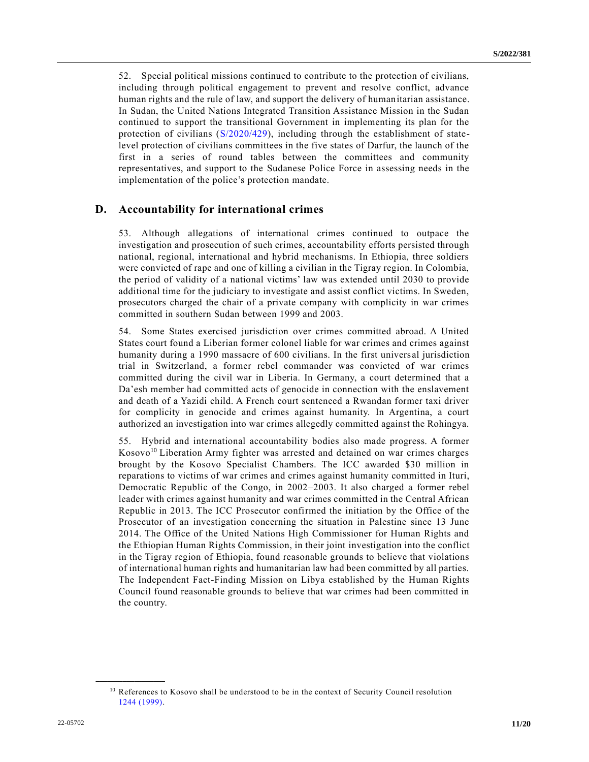52. Special political missions continued to contribute to the protection of civilians, including through political engagement to prevent and resolve conflict, advance human rights and the rule of law, and support the delivery of humanitarian assistance. In Sudan, the United Nations Integrated Transition Assistance Mission in the Sudan continued to support the transitional Government in implementing its plan for the protection of civilians [\(S/2020/429\)](https://undocs.org/en/S/2020/429), including through the establishment of statelevel protection of civilians committees in the five states of Darfur, the launch of the first in a series of round tables between the committees and community representatives, and support to the Sudanese Police Force in assessing needs in the implementation of the police's protection mandate.

## **D. Accountability for international crimes**

53. Although allegations of international crimes continued to outpace the investigation and prosecution of such crimes, accountability efforts persisted through national, regional, international and hybrid mechanisms. In Ethiopia, three soldiers were convicted of rape and one of killing a civilian in the Tigray region. In Colombia, the period of validity of a national victims' law was extended until 2030 to provide additional time for the judiciary to investigate and assist conflict victims. In Sweden, prosecutors charged the chair of a private company with complicity in war crimes committed in southern Sudan between 1999 and 2003.

54. Some States exercised jurisdiction over crimes committed abroad. A United States court found a Liberian former colonel liable for war crimes and crimes against humanity during a 1990 massacre of 600 civilians. In the first univers al jurisdiction trial in Switzerland, a former rebel commander was convicted of war crimes committed during the civil war in Liberia. In Germany, a court determined that a Da'esh member had committed acts of genocide in connection with the enslavement and death of a Yazidi child. A French court sentenced a Rwandan former taxi driver for complicity in genocide and crimes against humanity. In Argentina, a court authorized an investigation into war crimes allegedly committed against the Rohingya.

55. Hybrid and international accountability bodies also made progress. A former Kosovo<sup>10</sup> Liberation Army fighter was arrested and detained on war crimes charges brought by the Kosovo Specialist Chambers. The ICC awarded \$30 million in reparations to victims of war crimes and crimes against humanity committed in Ituri, Democratic Republic of the Congo, in 2002–2003. It also charged a former rebel leader with crimes against humanity and war crimes committed in the Central African Republic in 2013. The ICC Prosecutor confirmed the initiation by the Office of the Prosecutor of an investigation concerning the situation in Palestine since 13 June 2014. The Office of the United Nations High Commissioner for Human Rights and the Ethiopian Human Rights Commission, in their joint investigation into the conflict in the Tigray region of Ethiopia, found reasonable grounds to believe that violations of international human rights and humanitarian law had been committed by all parties. The Independent Fact-Finding Mission on Libya established by the Human Rights Council found reasonable grounds to believe that war crimes had been committed in the country.

<sup>&</sup>lt;sup>10</sup> References to Kosovo shall be understood to be in the context of Security Council resolution [1244 \(1999\).](https://undocs.org/en/S/RES/1244(1999))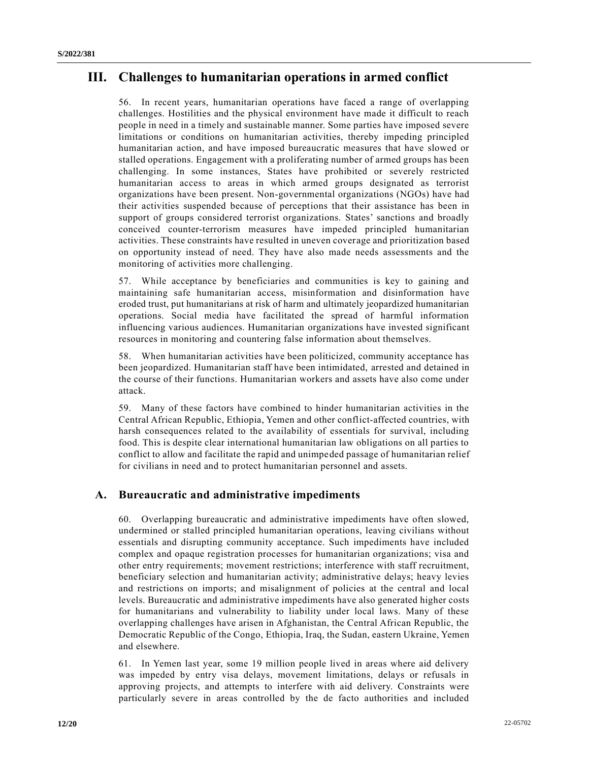# **III. Challenges to humanitarian operations in armed conflict**

56. In recent years, humanitarian operations have faced a range of overlapping challenges. Hostilities and the physical environment have made it difficult to reach people in need in a timely and sustainable manner. Some parties have imposed severe limitations or conditions on humanitarian activities, thereby impeding principled humanitarian action, and have imposed bureaucratic measures that have slowed or stalled operations. Engagement with a proliferating number of armed groups has been challenging. In some instances, States have prohibited or severely restricted humanitarian access to areas in which armed groups designated as terrorist organizations have been present. Non-governmental organizations (NGOs) have had their activities suspended because of perceptions that their assistance has been in support of groups considered terrorist organizations. States' sanctions and broadly conceived counter-terrorism measures have impeded principled humanitarian activities. These constraints have resulted in uneven coverage and prioritization based on opportunity instead of need. They have also made needs assessments and the monitoring of activities more challenging.

57. While acceptance by beneficiaries and communities is key to gaining and maintaining safe humanitarian access, misinformation and disinformation have eroded trust, put humanitarians at risk of harm and ultimately jeopardized humanitarian operations. Social media have facilitated the spread of harmful information influencing various audiences. Humanitarian organizations have invested significant resources in monitoring and countering false information about themselves.

58. When humanitarian activities have been politicized, community acceptance has been jeopardized. Humanitarian staff have been intimidated, arrested and detained in the course of their functions. Humanitarian workers and assets have also come under attack.

59. Many of these factors have combined to hinder humanitarian activities in the Central African Republic, Ethiopia, Yemen and other conflict-affected countries, with harsh consequences related to the availability of essentials for survival, including food. This is despite clear international humanitarian law obligations on all parties to conflict to allow and facilitate the rapid and unimpeded passage of humanitarian relief for civilians in need and to protect humanitarian personnel and assets.

# **A. Bureaucratic and administrative impediments**

60. Overlapping bureaucratic and administrative impediments have often slowed, undermined or stalled principled humanitarian operations, leaving civilians without essentials and disrupting community acceptance. Such impediments have included complex and opaque registration processes for humanitarian organizations; visa and other entry requirements; movement restrictions; interference with staff recruitment, beneficiary selection and humanitarian activity; administrative delays; heavy levies and restrictions on imports; and misalignment of policies at the central and local levels. Bureaucratic and administrative impediments have also generated higher costs for humanitarians and vulnerability to liability under local laws. Many of these overlapping challenges have arisen in Afghanistan, the Central African Republic, the Democratic Republic of the Congo, Ethiopia, Iraq, the Sudan, eastern Ukraine, Yemen and elsewhere.

61. In Yemen last year, some 19 million people lived in areas where aid delivery was impeded by entry visa delays, movement limitations, delays or refusals in approving projects, and attempts to interfere with aid delivery. Constraints were particularly severe in areas controlled by the de facto authorities and included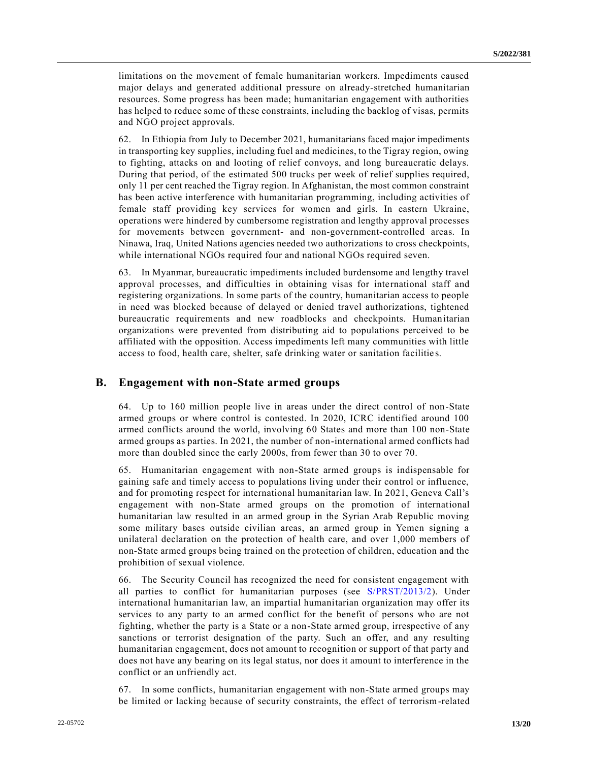limitations on the movement of female humanitarian workers. Impediments caused major delays and generated additional pressure on already-stretched humanitarian resources. Some progress has been made; humanitarian engagement with authorities has helped to reduce some of these constraints, including the backlog of visas, permits and NGO project approvals.

62. In Ethiopia from July to December 2021, humanitarians faced major impediments in transporting key supplies, including fuel and medicines, to the Tigray region, owing to fighting, attacks on and looting of relief convoys, and long bureaucratic delays. During that period, of the estimated 500 trucks per week of relief supplies required, only 11 per cent reached the Tigray region. In Afghanistan, the most common constraint has been active interference with humanitarian programming, including activities of female staff providing key services for women and girls. In eastern Ukraine, operations were hindered by cumbersome registration and lengthy approval processes for movements between government- and non-government-controlled areas. In Ninawa, Iraq, United Nations agencies needed two authorizations to cross checkpoints, while international NGOs required four and national NGOs required seven.

63. In Myanmar, bureaucratic impediments included burdensome and lengthy travel approval processes, and difficulties in obtaining visas for international staff and registering organizations. In some parts of the country, humanitarian access to people in need was blocked because of delayed or denied travel authorizations, tightened bureaucratic requirements and new roadblocks and checkpoints. Humanitarian organizations were prevented from distributing aid to populations perceived to be affiliated with the opposition. Access impediments left many communities with little access to food, health care, shelter, safe drinking water or sanitation facilitie s.

## **B. Engagement with non-State armed groups**

64. Up to 160 million people live in areas under the direct control of non-State armed groups or where control is contested. In 2020, ICRC identified around 100 armed conflicts around the world, involving 60 States and more than 100 non-State armed groups as parties. In 2021, the number of non-international armed conflicts had more than doubled since the early 2000s, from fewer than 30 to over 70.

65. Humanitarian engagement with non-State armed groups is indispensable for gaining safe and timely access to populations living under their control or influence, and for promoting respect for international humanitarian law. In 2021, Geneva Call's engagement with non-State armed groups on the promotion of international humanitarian law resulted in an armed group in the Syrian Arab Republic moving some military bases outside civilian areas, an armed group in Yemen signing a unilateral declaration on the protection of health care, and over 1,000 members of non-State armed groups being trained on the protection of children, education and the prohibition of sexual violence.

66. The Security Council has recognized the need for consistent engagement with all parties to conflict for humanitarian purposes (see [S/PRST/2013/2\)](https://undocs.org/en/S/PRST/2013/2). Under international humanitarian law, an impartial humanitarian organization may offer its services to any party to an armed conflict for the benefit of persons who are not fighting, whether the party is a State or a non-State armed group, irrespective of any sanctions or terrorist designation of the party. Such an offer, and any resulting humanitarian engagement, does not amount to recognition or support of that party and does not have any bearing on its legal status, nor does it amount to interference in the conflict or an unfriendly act.

67. In some conflicts, humanitarian engagement with non-State armed groups may be limited or lacking because of security constraints, the effect of terrorism-related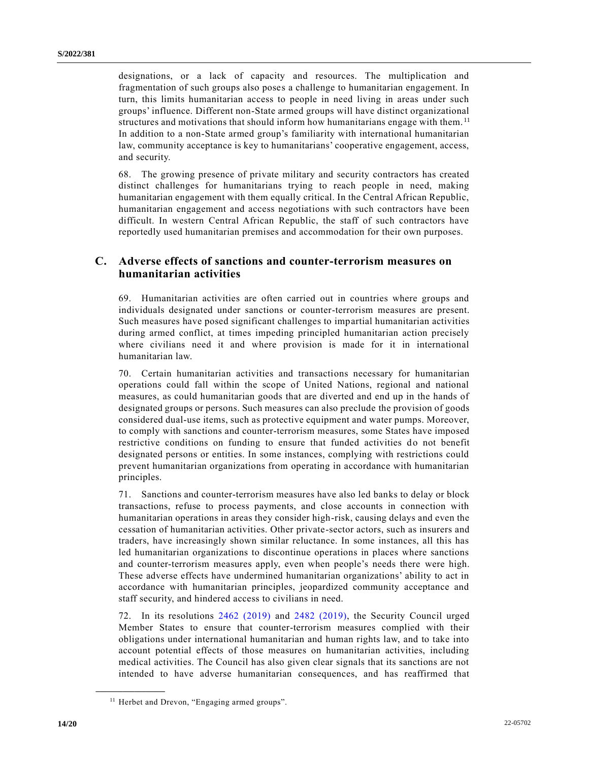designations, or a lack of capacity and resources. The multiplication and fragmentation of such groups also poses a challenge to humanitarian engagement. In turn, this limits humanitarian access to people in need living in areas under such groups' influence. Different non-State armed groups will have distinct organizational structures and motivations that should inform how humanitarians engage with them.<sup>11</sup> In addition to a non-State armed group's familiarity with international humanitarian law, community acceptance is key to humanitarians' cooperative engagement, access, and security.

68. The growing presence of private military and security contractors has created distinct challenges for humanitarians trying to reach people in need, making humanitarian engagement with them equally critical. In the Central African Republic, humanitarian engagement and access negotiations with such contractors have been difficult. In western Central African Republic, the staff of such contractors have reportedly used humanitarian premises and accommodation for their own purposes.

# **C. Adverse effects of sanctions and counter-terrorism measures on humanitarian activities**

69. Humanitarian activities are often carried out in countries where groups and individuals designated under sanctions or counter-terrorism measures are present. Such measures have posed significant challenges to impartial humanitarian activities during armed conflict, at times impeding principled humanitarian action precisely where civilians need it and where provision is made for it in international humanitarian law.

70. Certain humanitarian activities and transactions necessary for humanitarian operations could fall within the scope of United Nations, regional and national measures, as could humanitarian goods that are diverted and end up in the hands of designated groups or persons. Such measures can also preclude the provision of goods considered dual-use items, such as protective equipment and water pumps. Moreover, to comply with sanctions and counter-terrorism measures, some States have imposed restrictive conditions on funding to ensure that funded activities do not benefit designated persons or entities. In some instances, complying with restrictions could prevent humanitarian organizations from operating in accordance with humanitarian principles.

71. Sanctions and counter-terrorism measures have also led banks to delay or block transactions, refuse to process payments, and close accounts in connection with humanitarian operations in areas they consider high-risk, causing delays and even the cessation of humanitarian activities. Other private-sector actors, such as insurers and traders, have increasingly shown similar reluctance. In some instances, all this has led humanitarian organizations to discontinue operations in places where sanctions and counter-terrorism measures apply, even when people's needs there were high. These adverse effects have undermined humanitarian organizations' ability to act in accordance with humanitarian principles, jeopardized community acceptance and staff security, and hindered access to civilians in need.

72. In its resolutions [2462 \(2019\)](https://undocs.org/en/S/RES/2462(2019)) and [2482 \(2019\),](https://undocs.org/en/S/RES/2482(2019)) the Security Council urged Member States to ensure that counter-terrorism measures complied with their obligations under international humanitarian and human rights law, and to take into account potential effects of those measures on humanitarian activities, including medical activities. The Council has also given clear signals that its sanctions are not intended to have adverse humanitarian consequences, and has reaffirmed that

<sup>&</sup>lt;sup>11</sup> Herbet and Drevon, "Engaging armed groups".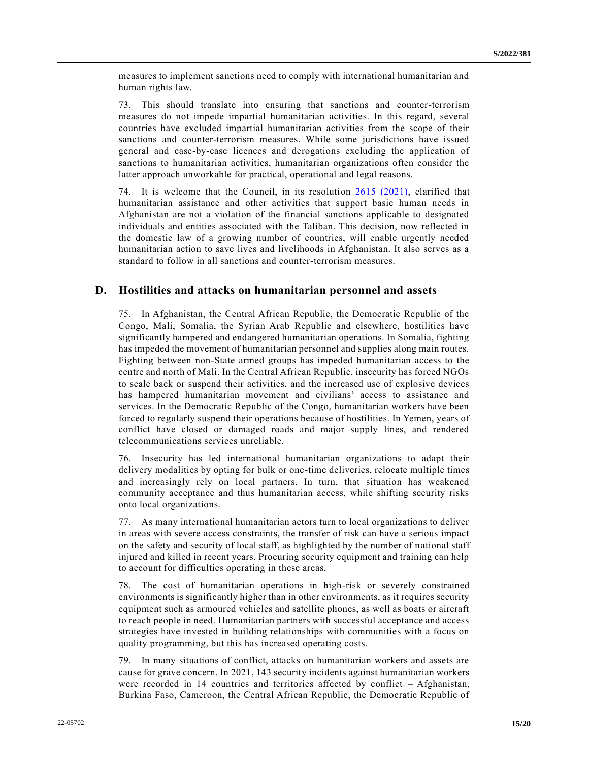measures to implement sanctions need to comply with international humanitarian and human rights law.

73. This should translate into ensuring that sanctions and counter-terrorism measures do not impede impartial humanitarian activities. In this regard, several countries have excluded impartial humanitarian activities from the scope of their sanctions and counter-terrorism measures. While some jurisdictions have issued general and case-by-case licences and derogations excluding the application of sanctions to humanitarian activities, humanitarian organizations often consider the latter approach unworkable for practical, operational and legal reasons.

74. It is welcome that the Council, in its resolution [2615 \(2021\),](https://undocs.org/en/S/RES/2615(2021)) clarified that humanitarian assistance and other activities that support basic human needs in Afghanistan are not a violation of the financial sanctions applicable to designated individuals and entities associated with the Taliban. This decision, now reflected in the domestic law of a growing number of countries, will enable urgently needed humanitarian action to save lives and livelihoods in Afghanistan. It also serves as a standard to follow in all sanctions and counter-terrorism measures.

## **D. Hostilities and attacks on humanitarian personnel and assets**

75. In Afghanistan, the Central African Republic, the Democratic Republic of the Congo, Mali, Somalia, the Syrian Arab Republic and elsewhere, hostilities have significantly hampered and endangered humanitarian operations. In Somalia, fighting has impeded the movement of humanitarian personnel and supplies along main routes. Fighting between non-State armed groups has impeded humanitarian access to the centre and north of Mali. In the Central African Republic, insecurity has forced NGOs to scale back or suspend their activities, and the increased use of explosive devices has hampered humanitarian movement and civilians' access to assistance and services. In the Democratic Republic of the Congo, humanitarian workers have been forced to regularly suspend their operations because of hostilities. In Yemen, years of conflict have closed or damaged roads and major supply lines, and rendered telecommunications services unreliable.

76. Insecurity has led international humanitarian organizations to adapt their delivery modalities by opting for bulk or one-time deliveries, relocate multiple times and increasingly rely on local partners. In turn, that situation has weakened community acceptance and thus humanitarian access, while shifting security risks onto local organizations.

77. As many international humanitarian actors turn to local organizations to deliver in areas with severe access constraints, the transfer of risk can have a serious impact on the safety and security of local staff, as highlighted by the number of national staff injured and killed in recent years. Procuring security equipment and training can help to account for difficulties operating in these areas.

78. The cost of humanitarian operations in high-risk or severely constrained environments is significantly higher than in other environments, as it requires security equipment such as armoured vehicles and satellite phones, as well as boats or aircraft to reach people in need. Humanitarian partners with successful acceptance and access strategies have invested in building relationships with communities with a focus on quality programming, but this has increased operating costs.

79. In many situations of conflict, attacks on humanitarian workers and assets are cause for grave concern. In 2021, 143 security incidents against humanitarian workers were recorded in 14 countries and territories affected by conflict – Afghanistan, Burkina Faso, Cameroon, the Central African Republic, the Democratic Republic of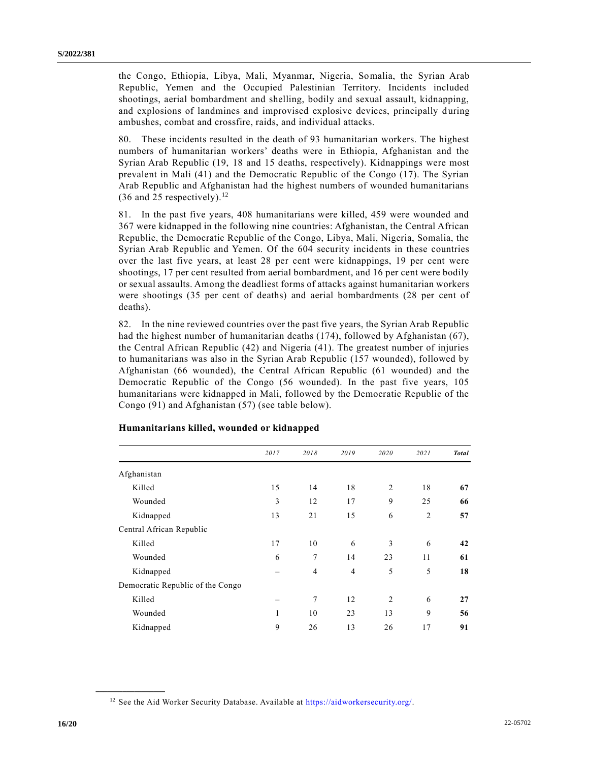the Congo, Ethiopia, Libya, Mali, Myanmar, Nigeria, Somalia, the Syrian Arab Republic, Yemen and the Occupied Palestinian Territory. Incidents included shootings, aerial bombardment and shelling, bodily and sexual assault, kidnapping, and explosions of landmines and improvised explosive devices, principally during ambushes, combat and crossfire, raids, and individual attacks.

80. These incidents resulted in the death of 93 humanitarian workers. The highest numbers of humanitarian workers' deaths were in Ethiopia, Afghanistan and the Syrian Arab Republic (19, 18 and 15 deaths, respectively). Kidnappings were most prevalent in Mali (41) and the Democratic Republic of the Congo (17). The Syrian Arab Republic and Afghanistan had the highest numbers of wounded humanitarians  $(36$  and 25 respectively).<sup>12</sup>

81. In the past five years, 408 humanitarians were killed, 459 were wounded and 367 were kidnapped in the following nine countries: Afghanistan, the Central African Republic, the Democratic Republic of the Congo, Libya, Mali, Nigeria, Somalia, the Syrian Arab Republic and Yemen. Of the 604 security incidents in these countries over the last five years, at least 28 per cent were kidnappings, 19 per cent were shootings, 17 per cent resulted from aerial bombardment, and 16 per cent were bodily or sexual assaults. Among the deadliest forms of attacks against humanitarian workers were shootings (35 per cent of deaths) and aerial bombardments (28 per cent of deaths).

82. In the nine reviewed countries over the past five years, the Syrian Arab Republic had the highest number of humanitarian deaths (174), followed by Afghanistan (67), the Central African Republic (42) and Nigeria (41). The greatest number of injuries to humanitarians was also in the Syrian Arab Republic (157 wounded), followed by Afghanistan (66 wounded), the Central African Republic (61 wounded) and the Democratic Republic of the Congo (56 wounded). In the past five years, 105 humanitarians were kidnapped in Mali, followed by the Democratic Republic of the Congo (91) and Afghanistan (57) (see table below).

|                                  | 2017 | 2018           | 2019           | 2020           | 2021           | <b>Total</b> |
|----------------------------------|------|----------------|----------------|----------------|----------------|--------------|
| Afghanistan                      |      |                |                |                |                |              |
| Killed                           | 15   | 14             | 18             | $\overline{2}$ | 18             | 67           |
| Wounded                          | 3    | 12             | 17             | 9              | 25             | 66           |
| Kidnapped                        | 13   | 21             | 15             | 6              | $\overline{2}$ | 57           |
| Central African Republic         |      |                |                |                |                |              |
| Killed                           | 17   | 10             | 6              | 3              | 6              | 42           |
| Wounded                          | 6    | 7              | 14             | 23             | 11             | 61           |
| Kidnapped                        |      | $\overline{4}$ | $\overline{4}$ | 5              | 5              | 18           |
| Democratic Republic of the Congo |      |                |                |                |                |              |
| Killed                           |      | 7              | 12             | $\overline{2}$ | 6              | 27           |
| Wounded                          | 1    | 10             | 23             | 13             | 9              | 56           |
| Kidnapped                        | 9    | 26             | 13             | 26             | 17             | 91           |

#### **Humanitarians killed, wounded or kidnapped**

<sup>&</sup>lt;sup>12</sup> See the Aid Worker Security Database. Available at [https://aidworkersecurity.org/.](https://aidworkersecurity.org/)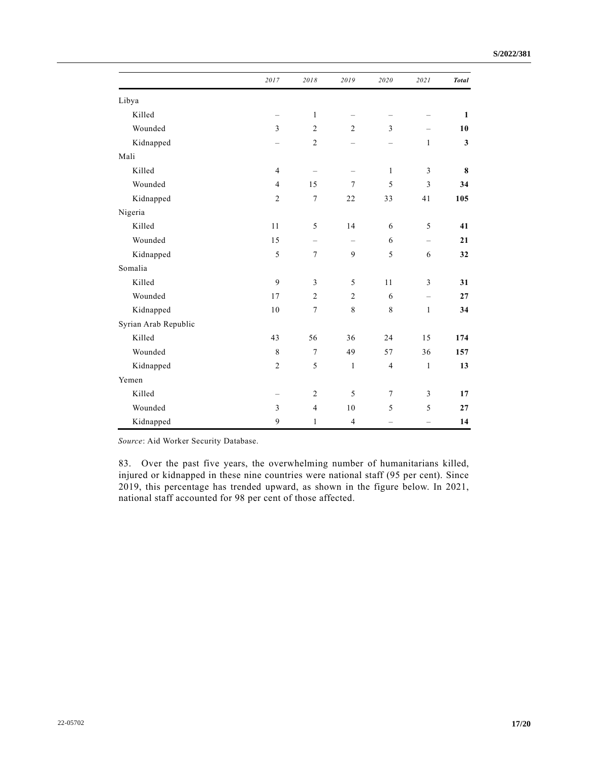|                      | 2017           | 2018           | 2019           | 2020                     | 2021              | <b>Total</b> |
|----------------------|----------------|----------------|----------------|--------------------------|-------------------|--------------|
| Libya                |                |                |                |                          |                   |              |
| Killed               |                | $\mathbf{1}$   |                |                          |                   | $\mathbf{1}$ |
| Wounded              | $\overline{3}$ | $\overline{2}$ | $\overline{c}$ | 3                        |                   | 10           |
| Kidnapped            |                | $\overline{c}$ |                | $\overline{\phantom{0}}$ | $\mathbf{1}$      | $\mathbf{3}$ |
| Mali                 |                |                |                |                          |                   |              |
| Killed               | 4              |                |                | 1                        | 3                 | 8            |
| Wounded              | $\overline{4}$ | 15             | $\overline{7}$ | 5                        | 3                 | 34           |
| Kidnapped            | $\mathfrak{2}$ | $\overline{7}$ | 22             | 33                       | 41                | 105          |
| Nigeria              |                |                |                |                          |                   |              |
| Killed               | 11             | 5              | 14             | 6                        | 5                 | 41           |
| Wounded              | 15             | $\equiv$       | $\equiv$       | 6                        | $\qquad \qquad -$ | 21           |
| Kidnapped            | 5              | $\overline{7}$ | 9              | 5                        | 6                 | 32           |
| Somalia              |                |                |                |                          |                   |              |
| Killed               | 9              | 3              | 5              | 11                       | 3                 | 31           |
| Wounded              | 17             | $\mathbf{2}$   | $\overline{c}$ | 6                        | $\qquad \qquad -$ | 27           |
| Kidnapped            | 10             | $\tau$         | $\,$ 8 $\,$    | $\,$ 8 $\,$              | $\mathbf{1}$      | 34           |
| Syrian Arab Republic |                |                |                |                          |                   |              |
| Killed               | 43             | 56             | 36             | 24                       | 15                | 174          |
| Wounded              | $\,$ 8 $\,$    | $\overline{7}$ | 49             | 57                       | 36                | 157          |
| Kidnapped            | $\mathbf{2}$   | 5              | $\mathbf{1}$   | $\overline{4}$           | $\mathbf{1}$      | 13           |
| Yemen                |                |                |                |                          |                   |              |
| Killed               |                | $\mathfrak{2}$ | 5              | 7                        | 3                 | 17           |
| Wounded              | 3              | $\overline{4}$ | 10             | 5                        | 5                 | 27           |
| Kidnapped            | 9              | 1              | $\overline{4}$ |                          |                   | 14           |

*Source*: Aid Worker Security Database.

83. Over the past five years, the overwhelming number of humanitarians killed, injured or kidnapped in these nine countries were national staff (95 per cent). Since 2019, this percentage has trended upward, as shown in the figure below. In 2021, national staff accounted for 98 per cent of those affected.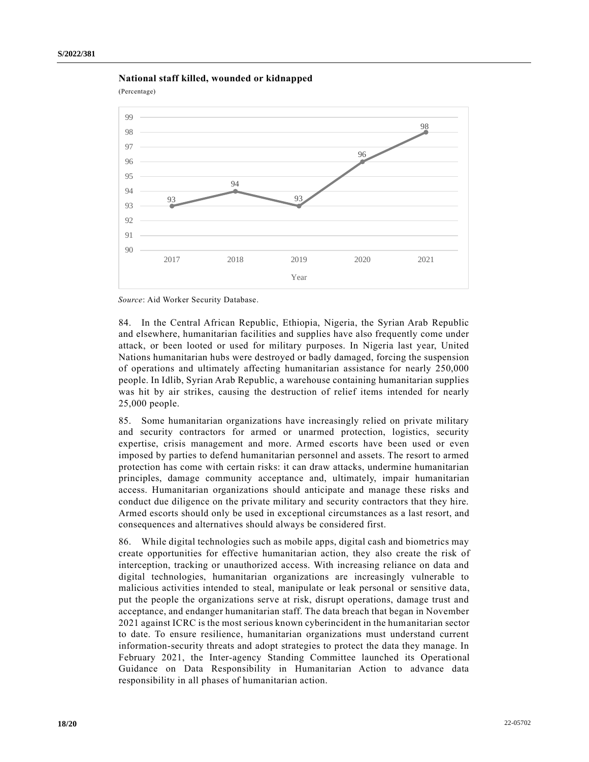

(Percentage)





84. In the Central African Republic, Ethiopia, Nigeria, the Syrian Arab Republic and elsewhere, humanitarian facilities and supplies have also frequently come under attack, or been looted or used for military purposes. In Nigeria last year, United Nations humanitarian hubs were destroyed or badly damaged, forcing the suspension of operations and ultimately affecting humanitarian assistance for nearly 250,000 people. In Idlib, Syrian Arab Republic, a warehouse containing humanitarian supplies was hit by air strikes, causing the destruction of relief items intended for nearly 25,000 people.

85. Some humanitarian organizations have increasingly relied on private military and security contractors for armed or unarmed protection, logistics, security expertise, crisis management and more. Armed escorts have been used or even imposed by parties to defend humanitarian personnel and assets. The resort to armed protection has come with certain risks: it can draw attacks, undermine humanitarian principles, damage community acceptance and, ultimately, impair humanitarian access. Humanitarian organizations should anticipate and manage these risks and conduct due diligence on the private military and security contractors that they hire. Armed escorts should only be used in exceptional circumstances as a last resort, and consequences and alternatives should always be considered first.

86. While digital technologies such as mobile apps, digital cash and biometrics may create opportunities for effective humanitarian action, they also create the risk of interception, tracking or unauthorized access. With increasing reliance on data and digital technologies, humanitarian organizations are increasingly vulnerable to malicious activities intended to steal, manipulate or leak personal or sensitive data, put the people the organizations serve at risk, disrupt operations, damage trust and acceptance, and endanger humanitarian staff. The data breach that began in November 2021 against ICRC is the most serious known cyberincident in the humanitarian sector to date. To ensure resilience, humanitarian organizations must understand current information-security threats and adopt strategies to protect the data they manage. In February 2021, the Inter-agency Standing Committee launched its Operational Guidance on Data Responsibility in Humanitarian Action to advance data responsibility in all phases of humanitarian action.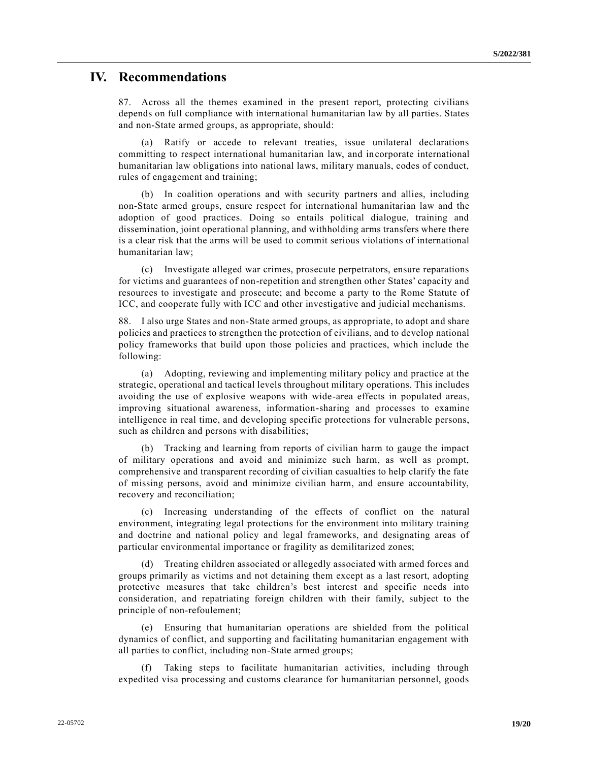# **IV. Recommendations**

87. Across all the themes examined in the present report, protecting civilians depends on full compliance with international humanitarian law by all parties. States and non-State armed groups, as appropriate, should:

(a) Ratify or accede to relevant treaties, issue unilateral declarations committing to respect international humanitarian law, and incorporate international humanitarian law obligations into national laws, military manuals, codes of conduct, rules of engagement and training;

(b) In coalition operations and with security partners and allies, including non-State armed groups, ensure respect for international humanitarian law and the adoption of good practices. Doing so entails political dialogue, training and dissemination, joint operational planning, and withholding arms transfers where there is a clear risk that the arms will be used to commit serious violations of international humanitarian law;

(c) Investigate alleged war crimes, prosecute perpetrators, ensure reparations for victims and guarantees of non-repetition and strengthen other States' capacity and resources to investigate and prosecute; and become a party to the Rome Statute of ICC, and cooperate fully with ICC and other investigative and judicial mechanisms.

88. I also urge States and non-State armed groups, as appropriate, to adopt and share policies and practices to strengthen the protection of civilians, and to develop national policy frameworks that build upon those policies and practices, which include the following:

(a) Adopting, reviewing and implementing military policy and practice at the strategic, operational and tactical levels throughout military operations. This includes avoiding the use of explosive weapons with wide-area effects in populated areas, improving situational awareness, information-sharing and processes to examine intelligence in real time, and developing specific protections for vulnerable persons, such as children and persons with disabilities;

(b) Tracking and learning from reports of civilian harm to gauge the impact of military operations and avoid and minimize such harm, as well as prompt, comprehensive and transparent recording of civilian casualties to help clarify the fate of missing persons, avoid and minimize civilian harm, and ensure accountability, recovery and reconciliation;

(c) Increasing understanding of the effects of conflict on the natural environment, integrating legal protections for the environment into military training and doctrine and national policy and legal frameworks, and designating areas of particular environmental importance or fragility as demilitarized zones;

(d) Treating children associated or allegedly associated with armed forces and groups primarily as victims and not detaining them except as a last resort, adopting protective measures that take children's best interest and specific needs into consideration, and repatriating foreign children with their family, subject to the principle of non-refoulement;

(e) Ensuring that humanitarian operations are shielded from the political dynamics of conflict, and supporting and facilitating humanitarian engagement with all parties to conflict, including non-State armed groups;

(f) Taking steps to facilitate humanitarian activities, including through expedited visa processing and customs clearance for humanitarian personnel, goods